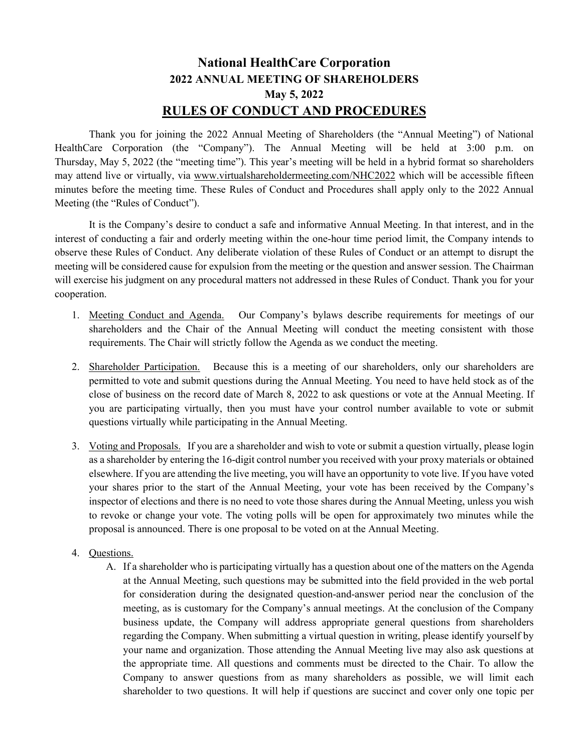## **National HealthCare Corporation 2022 ANNUAL MEETING OF SHAREHOLDERS May 5, 2022 RULES OF CONDUCT AND PROCEDURES**

Thank you for joining the 2022 Annual Meeting of Shareholders (the "Annual Meeting") of National HealthCare Corporation (the "Company"). The Annual Meeting will be held at 3:00 p.m. on Thursday, May 5, 2022 (the "meeting time"). This year's meeting will be held in a hybrid format so shareholders may attend live or virtually, via [www.virtualshareholdermeeting.com/NHC2022](https://nam02.safelinks.protection.outlook.com/?url=https%3A%2F%2Fwww.virtualshareholdermeeting.com%2FNHC2020&data=02%7C01%7Ckhulsey%40nhccare.com%7C146d6892c60041f1659808d7e61d5793%7Cbf7e8d9da7aa41cab3a6df2b973e2016%7C0%7C0%7C637230886052021892&sdata=I6OIb2JMygw5NsbQ6iMNGIGVDMqrt3zLQP7laot0slk%3D&reserved=0) which will be accessible fifteen minutes before the meeting time. These Rules of Conduct and Procedures shall apply only to the 2022 Annual Meeting (the "Rules of Conduct").

It is the Company's desire to conduct a safe and informative Annual Meeting. In that interest, and in the interest of conducting a fair and orderly meeting within the one-hour time period limit, the Company intends to observe these Rules of Conduct. Any deliberate violation of these Rules of Conduct or an attempt to disrupt the meeting will be considered cause for expulsion from the meeting or the question and answer session. The Chairman will exercise his judgment on any procedural matters not addressed in these Rules of Conduct. Thank you for your cooperation.

- 1. Meeting Conduct and Agenda. Our Company's bylaws describe requirements for meetings of our shareholders and the Chair of the Annual Meeting will conduct the meeting consistent with those requirements. The Chair will strictly follow the Agenda as we conduct the meeting.
- 2. Shareholder Participation. Because this is a meeting of our shareholders, only our shareholders are permitted to vote and submit questions during the Annual Meeting. You need to have held stock as of the close of business on the record date of March 8, 2022 to ask questions or vote at the Annual Meeting. If you are participating virtually, then you must have your control number available to vote or submit questions virtually while participating in the Annual Meeting.
- 3. Voting and Proposals. If you are a shareholder and wish to vote or submit a question virtually, please login as a shareholder by entering the 16-digit control number you received with your proxy materials or obtained elsewhere. If you are attending the live meeting, you will have an opportunity to vote live. If you have voted your shares prior to the start of the Annual Meeting, your vote has been received by the Company's inspector of elections and there is no need to vote those shares during the Annual Meeting, unless you wish to revoke or change your vote. The voting polls will be open for approximately two minutes while the proposal is announced. There is one proposal to be voted on at the Annual Meeting.
- 4. Questions.
	- A. If a shareholder who is participating virtually has a question about one of the matters on the Agenda at the Annual Meeting, such questions may be submitted into the field provided in the web portal for consideration during the designated question-and-answer period near the conclusion of the meeting, as is customary for the Company's annual meetings. At the conclusion of the Company business update, the Company will address appropriate general questions from shareholders regarding the Company. When submitting a virtual question in writing, please identify yourself by your name and organization. Those attending the Annual Meeting live may also ask questions at the appropriate time. All questions and comments must be directed to the Chair. To allow the Company to answer questions from as many shareholders as possible, we will limit each shareholder to two questions. It will help if questions are succinct and cover only one topic per